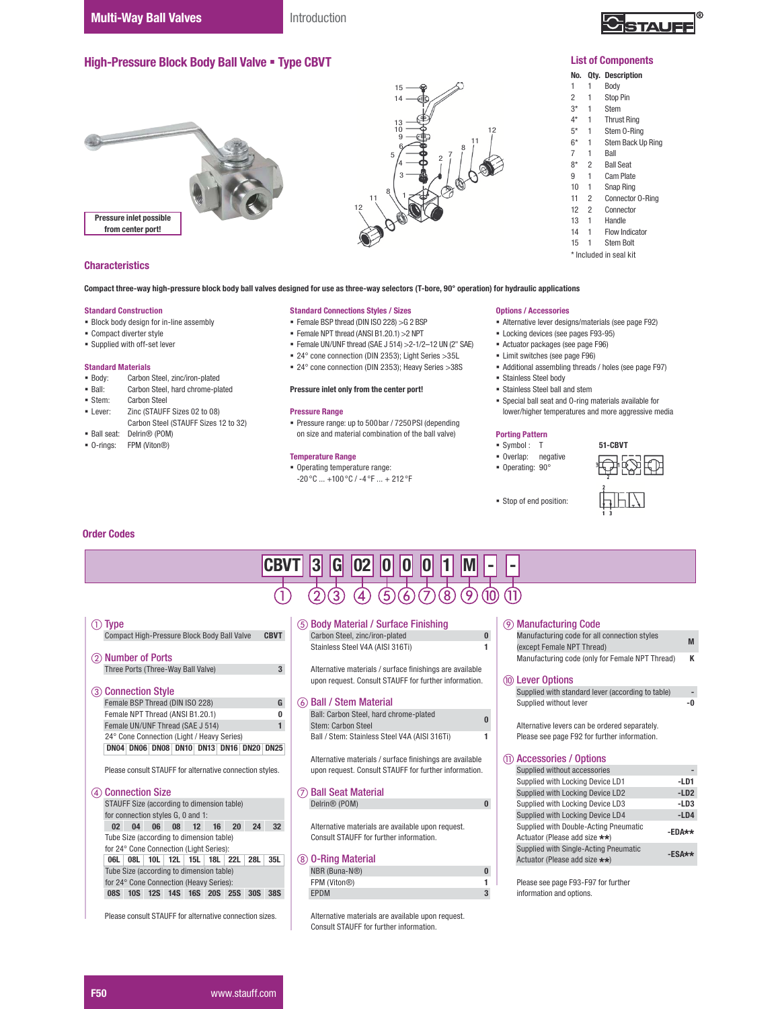

### List of Components

# No. Qty. Description

- 1 1 Body<br>2 1 Stop
- $2 \t 1 \t Stop Pin\n3* \t 1 \t Stem$
- 1 Stem
- 4\* 1 Thrust Ring
- 5\* 1 Stem 0-Ring<br>6\* 1 Stem Back Up 1 Stem Back Up Ring
- 7 1 Ball
- 8\* 2 Ball Seat<br>9 1 Cam Plat
- 9 1 Cam Plate<br>10 1 Snap Ring 1 Snap Ring
- 
- 11 2 Connector 0-Ring<br>12 2 Connector **Connector**
- 13 1 Handle<br>14 1 Flow In
- Flow Indicator
- 15 1 Stem Bolt
- \* Included in seal kit

12  $11 \frac{8}{1}$  1 Pressure inlet possible from center port!

High-Pressure Block Body Ball Valve . Type CBVT

## **Characteristics**

Compact three-way high-pressure block body ball valves designed for use as three-way selectors (T-bore, 90° operation) for hydraulic applications

## Standard Construction

- Block body design for in-line assembly
- Compact diverter style
- Supplied with off-set lever

# Standard Materials<br>• Body: Carbon

- Carbon Steel, zinc/iron-plated
- **Ball:** Carbon Steel, hard chrome-plated<br>
Stem: Carbon Steel
- Stem: Carbon Steel<br>I ever: 7inc (STAUFF
- Zinc (STAUFF Sizes 02 to 08)
- Carbon Steel (STAUFF Sizes 12 to 32) Ball seat: Delrin® (POM)
- O-rings: FPM (Viton®)

#### Standard Connections Styles / Sizes

- Female BSP thread (DIN ISO 228) >G 2 BSP
- $\blacksquare$  Female NPT thread (ANSI B1.20.1) > 2NPT
- $\blacksquare$  Female UN/UNF thread (SAE J 514) > 2-1/2-12 UN (2" SAE)
- 24° cone connection (DIN 2353); Light Series >35L

15 14

 $\begin{bmatrix} 2 & 7 & 8 \\ 2 & 7 & 7 \end{bmatrix}$ 

12

24° cone connection (DIN 2353); Heavy Series >38S

#### Pressure inlet only from the center port!

#### Pressure Range

 Pressure range: up to 500bar / 7250PSI (depending on size and material combination of the ball valve)

#### Temperature Range

 Operating temperature range:  $-20^{\circ}$ C ...  $+100^{\circ}$ C /  $-4^{\circ}$ F ...  $+212^{\circ}$ F

#### Options / Accessories

- Alternative lever designs/materials (see page F92)
- **Locking devices (see pages F93-95)**
- Actuator packages (see page F96)
- Limit switches (see page F96)
- Additional assembling threads / holes (see page F97)
- Stainless Steel body
- Stainless Steel ball and stem
- Special ball seat and O-ring materials available for lower/higher temperatures and more aggressive media

# Porting Pattern

- Symbol : T
- Overlap: negative
- Operating: 90°
- Stop of end position:



## Order Codes

| <b>CBVT</b>                                                                                                                      | $\bf{3}$<br>G                                                                                                                                                                           |                                                                                                                                        |  |  |  |  |  |
|----------------------------------------------------------------------------------------------------------------------------------|-----------------------------------------------------------------------------------------------------------------------------------------------------------------------------------------|----------------------------------------------------------------------------------------------------------------------------------------|--|--|--|--|--|
|                                                                                                                                  | $\left[8\right]$<br>$\left[5\right]$<br>9<br>4.<br>6                                                                                                                                    |                                                                                                                                        |  |  |  |  |  |
| ① Type<br>Compact High-Pressure Block Body Ball Valve<br><b>CBVT</b>                                                             | (5) Body Material / Surface Finishing<br>$\bf{0}$<br>Carbon Steel, zinc/iron-plated                                                                                                     | <b>9 Manufacturing Code</b><br>Manufacturing code for all connection styles<br>M                                                       |  |  |  |  |  |
| <b>Number of Ports</b><br>(2)<br>Three Ports (Three-Way Ball Valve)<br>$\overline{3}$                                            | Stainless Steel V4A (AISI 316Ti)<br>1<br>Alternative materials / surface finishings are available                                                                                       | (except Female NPT Thread)<br>K<br>Manufacturing code (only for Female NPT Thread)                                                     |  |  |  |  |  |
| <b>Connection Style</b><br>(3)<br>Female BSP Thread (DIN ISO 228)<br>G                                                           | upon request. Consult STAUFF for further information.<br><b>Ball / Stem Material</b><br>(6)                                                                                             | (10) Lever Options<br>Supplied with standard lever (according to table)                                                                |  |  |  |  |  |
| Female NPT Thread (ANSI B1.20.1)<br>0<br>Female UN/UNF Thread (SAE J 514)                                                        | Ball: Carbon Steel, hard chrome-plated<br>Stem: Carbon Steel                                                                                                                            | Supplied without lever<br>-0<br>Alternative levers can be ordered separately.                                                          |  |  |  |  |  |
| 24° Cone Connection (Light / Heavy Series)<br>DN04 DN06 DN08 DN10 DN13 DN16 DN20 DN25                                            | Ball / Stem: Stainless Steel V4A (AISI 316Ti)<br>Please see page F92 for further information.<br>(11) Accessories / Options<br>Alternative materials / surface finishings are available |                                                                                                                                        |  |  |  |  |  |
| Please consult STAUFF for alternative connection styles.                                                                         | upon request. Consult STAUFF for further information.<br>Supplied without accessories<br>Supplied with Locking Device LD1                                                               |                                                                                                                                        |  |  |  |  |  |
| <b>Connection Size</b><br>$\left( 4\right)$<br>STAUFF Size (according to dimension table)<br>for connection styles G, 0 and 1:   | <b>Ball Seat Material</b><br>Delrin <sup>®</sup> (POM)<br>$\bf{0}$                                                                                                                      | Supplied with Locking Device LD2<br>$-LD2$<br>Supplied with Locking Device LD3<br>$-LD3$<br>Supplied with Locking Device LD4<br>$-LD4$ |  |  |  |  |  |
| 04<br>06 08 12<br>20<br>24<br>02 <sup>°</sup><br>16<br>32 <sup>2</sup><br>Tube Size (according to dimension table)               | Alternative materials are available upon request.<br>Consult STAUFF for further information.                                                                                            | Supplied with Double-Acting Pneumatic<br>$-EDA**$<br>Actuator (Please add size **)                                                     |  |  |  |  |  |
| for 24° Cone Connection (Light Series):<br>28L<br>35L<br>06L 08L 10L 12L 15L 18L 22L<br>Tube Size (according to dimension table) | (8) 0-Ring Material<br>NBR (Buna-N®)<br>$\bf{0}$                                                                                                                                        | Supplied with Single-Acting Pneumatic<br>$-ESAx*$<br>Actuator (Please add size **)                                                     |  |  |  |  |  |
| for 24° Cone Connection (Heavy Series):<br>08S 10S 12S 14S 16S 20S 25S 30S 38S                                                   | FPM (Viton®)<br>1.<br>3<br>EPDM                                                                                                                                                         | Please see page F93-F97 for further<br>information and options.                                                                        |  |  |  |  |  |
| Please consult STAUFF for alternative connection sizes.                                                                          | Alternative materials are available upon request.<br>Consult STAUFF for further information.                                                                                            |                                                                                                                                        |  |  |  |  |  |

## F50 WWW.stauff.com

| $m$ anuraturing tout (only for Ferrialt NFT Filleau)                                          |        |
|-----------------------------------------------------------------------------------------------|--------|
| <b>Lever Options</b>                                                                          |        |
| Supplied with standard lever (according to table)                                             |        |
| Supplied without lever                                                                        | -0     |
| Alternative levers can be ordered separately.<br>Please see page F92 for further information. |        |
| <b>Accessories / Options</b>                                                                  |        |
| Supplied without accessories                                                                  |        |
| Supplied with Locking Device LD1                                                              | $-LD1$ |
| <b>Supplied with Locking Device LD2</b>                                                       | $-LD2$ |
| Supplied with Locking Device LD3                                                              | -LD3   |
| <b>Supplied with Locking Device LD4</b>                                                       | $-LD4$ |
| <b>Supplied with Double-Acting Pneumatic</b>                                                  | -EDA** |
| Actuator (Please add size **)                                                                 |        |
| <b>Supplied with Single-Acting Pneumatic</b>                                                  | -ESA** |
| Actuator (Please add size **)                                                                 |        |